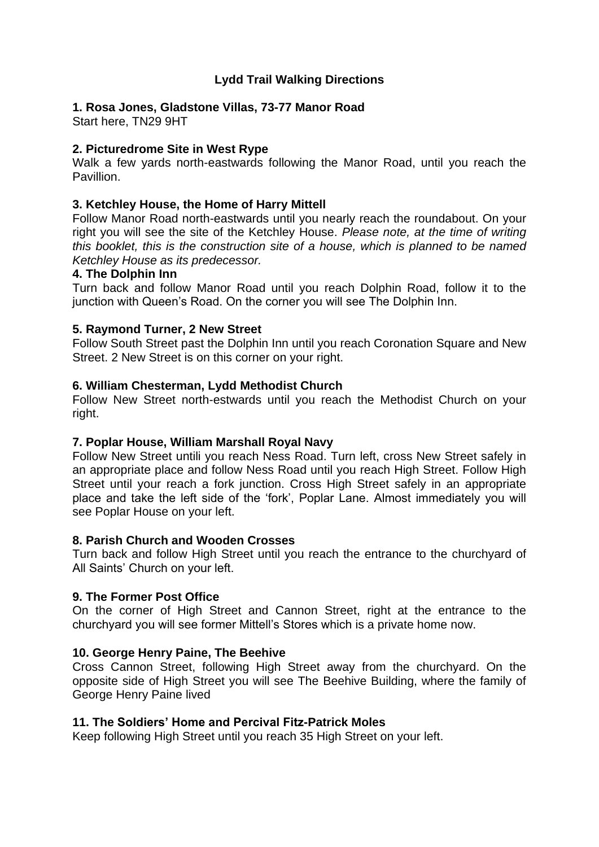# **Lydd Trail Walking Directions**

## **1. Rosa Jones, Gladstone Villas, 73-77 Manor Road**

Start here, TN29 9HT

## **2. Picturedrome Site in West Rype**

Walk a few yards north-eastwards following the Manor Road, until you reach the Pavillion.

## **3. Ketchley House, the Home of Harry Mittell**

Follow Manor Road north-eastwards until you nearly reach the roundabout. On your right you will see the site of the Ketchley House. *Please note, at the time of writing this booklet, this is the construction site of a house, which is planned to be named Ketchley House as its predecessor.*

#### **4. The Dolphin Inn**

Turn back and follow Manor Road until you reach Dolphin Road, follow it to the junction with Queen's Road. On the corner you will see The Dolphin Inn.

### **5. Raymond Turner, 2 New Street**

Follow South Street past the Dolphin Inn until you reach Coronation Square and New Street. 2 New Street is on this corner on your right.

### **6. William Chesterman, Lydd Methodist Church**

Follow New Street north-estwards until you reach the Methodist Church on your right.

### **7. Poplar House, William Marshall Royal Navy**

Follow New Street untili you reach Ness Road. Turn left, cross New Street safely in an appropriate place and follow Ness Road until you reach High Street. Follow High Street until your reach a fork junction. Cross High Street safely in an appropriate place and take the left side of the 'fork', Poplar Lane. Almost immediately you will see Poplar House on your left.

### **8. Parish Church and Wooden Crosses**

Turn back and follow High Street until you reach the entrance to the churchyard of All Saints' Church on your left.

### **9. The Former Post Office**

On the corner of High Street and Cannon Street, right at the entrance to the churchyard you will see former Mittell's Stores which is a private home now.

### **10. George Henry Paine, The Beehive**

Cross Cannon Street, following High Street away from the churchyard. On the opposite side of High Street you will see The Beehive Building, where the family of George Henry Paine lived

### **11. The Soldiers' Home and Percival Fitz-Patrick Moles**

Keep following High Street until you reach 35 High Street on your left.